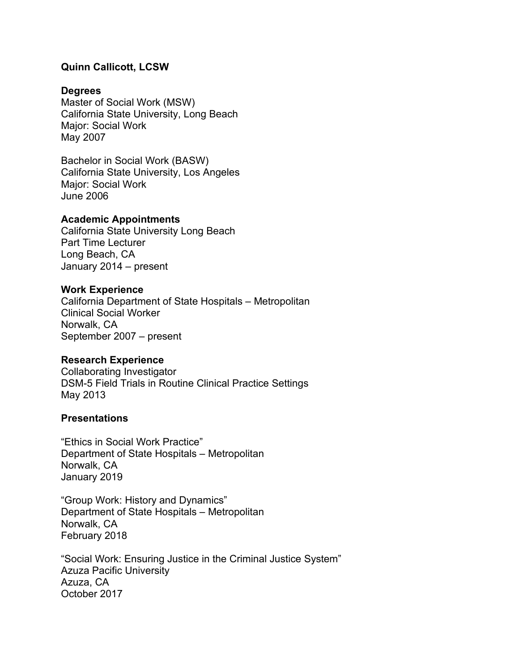### **Quinn Callicott, LCSW**

### **Degrees**

Master of Social Work (MSW) California State University, Long Beach Major: Social Work May 2007

Bachelor in Social Work (BASW) California State University, Los Angeles Major: Social Work June 2006

#### **Academic Appointments**

California State University Long Beach Part Time Lecturer Long Beach, CA January 2014 – present

#### **Work Experience**

California Department of State Hospitals – Metropolitan Clinical Social Worker Norwalk, CA September 2007 – present

#### **Research Experience**

Collaborating Investigator DSM-5 Field Trials in Routine Clinical Practice Settings May 2013

### **Presentations**

"Ethics in Social Work Practice" Department of State Hospitals – Metropolitan Norwalk, CA January 2019

"Group Work: History and Dynamics" Department of State Hospitals – Metropolitan Norwalk, CA February 2018

"Social Work: Ensuring Justice in the Criminal Justice System" Azuza Pacific University Azuza, CA October 2017